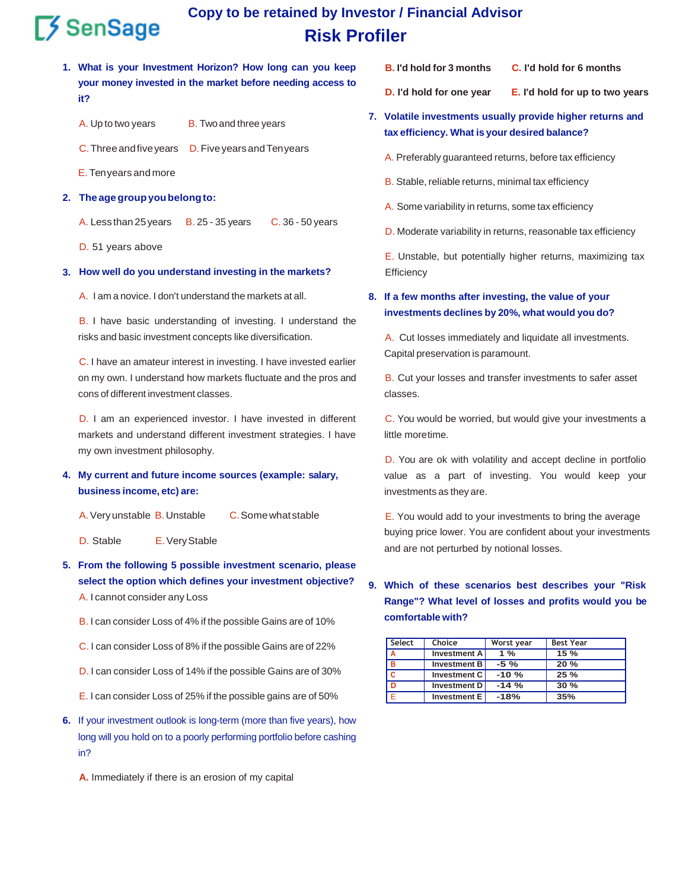# $5$  SenSage

## **Copy to be retained by Investor / Financial Advisor Risk Profiler**

- **1. What is your Investment Horizon? How long can you keep your money invested in the market before needing access to it?**
	- A. Up to two years B. Twoand three years
	- C. Three and five years D. Five years and Ten years
	- E.Tenyears and more
- **2. The agegroupyoubelongto:**

A. Less than25years **B. 25 - 35 years C. 36 - 50 years** 

D. 51 years above

#### **3. How well do you understand investing in the markets?** Efficiency

A. I am a novice. I don't understand the markets at all.

B. I have basic understanding of investing. I understand the risks and basic investment concepts like diversification.

C. I have an amateur interest in investing. I have invested earlier on my own. I understand how markets fluctuate and the pros and cons of different investment classes.

D. I am an experienced investor. I have invested in different markets and understand different investment strategies. I have my own investment philosophy.

#### **4. My current and future income sources (example: salary, business income, etc) are:**

- D. Stable E.VeryStable
- **5. From the following 5 possible investment scenario, please select the option which defines your investment objective?** A. I cannot consider any Loss
	- B. I can consider Loss of 4% if the possible Gains are of 10%
	- C. I can consider Loss of 8% if the possible Gains are of 22%
	- D. I can consider Loss of 14% if the possible Gains are of 30%
	- E. I can consider Loss of 25% if the possible gains are of 50%
- **6.** If your investment outlook is long-term (more than five years), how long will you hold on to a poorly performing portfolio before cashing in?

**A.** Immediately if there is an erosion of my capital

- **B. I'd hold for 3 months C. I'd hold for 6 months**
- **D. I'd hold for one year E. I'd hold for up to two years**
- **7. Volatile investments usually provide higher returns and tax efficiency. What is your desired balance?**
	- A. Preferably guaranteed returns, before tax efficiency
	- B. Stable, reliable returns, minimal tax efficiency
	- A. Some variability in returns, some tax efficiency
	- D. Moderate variability in returns, reasonable tax efficiency

E. Unstable, but potentially higher returns, maximizing tax

#### **8. If a few months after investing, the value of your investments declines by 20%, what would you do?**

A. Cut losses immediately and liquidate all investments. Capital preservation is paramount.

B. Cut your losses and transfer investments to safer asset classes.

C. You would be worried, but would give your investments a little moretime.

D. You are ok with volatility and accept decline in portfolio value as a part of investing. You would keep your investments as they are.

A. Very unstable B. Unstable C. Some what stable E. You would add to your investments to bring the average buying price lower. You are confident about your investments and are not perturbed by notional losses.

### **9. Which of these scenarios best describes your "Risk Range"? What level of losses and profits would you be comfortable with?**

| Select | Choice              | Worst year | <b>Best Year</b> |
|--------|---------------------|------------|------------------|
| A      | <b>Investment A</b> | $1\%$      | 15%              |
| в      | <b>Investment B</b> | $-5\%$     | 20%              |
| c      | Investment C        | $-10%$     | 25%              |
|        | Investment D        | $-14%$     | 30%              |
|        | <b>Investment E</b> | $-18%$     | 35%              |